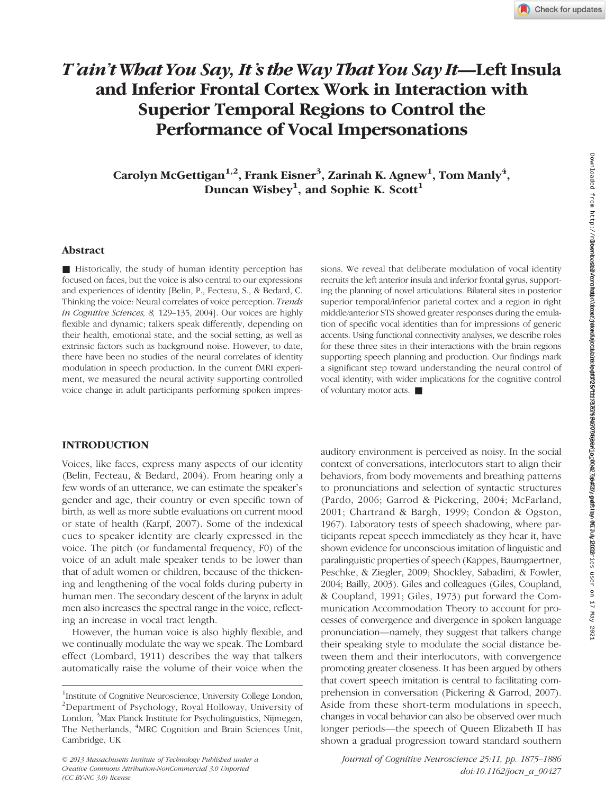# T'ain't What You Say, It's the Way That You Say It—Left Insula and Inferior Frontal Cortex Work in Interaction with Superior Temporal Regions to Control the Performance of Vocal Impersonations

Carolyn McGettigan $^{1,2}$ , Frank Eisner $^3$ , Zarinah K. Agnew $^1$ , Tom Manly $^4$ , Duncan Wisbey<sup>1</sup>, and Sophie K. Scott<sup>1</sup>

# Abstract

■ Historically, the study of human identity perception has focused on faces, but the voice is also central to our expressions and experiences of identity [Belin, P., Fecteau, S., & Bedard, C. Thinking the voice: Neural correlates of voice perception. Trends in Cognitive Sciences, 8, 129–135, 2004]. Our voices are highly flexible and dynamic; talkers speak differently, depending on their health, emotional state, and the social setting, as well as extrinsic factors such as background noise. However, to date, there have been no studies of the neural correlates of identity modulation in speech production. In the current fMRI experiment, we measured the neural activity supporting controlled voice change in adult participants performing spoken impres-

# sions. We reveal that deliberate modulation of vocal identity recruits the left anterior insula and inferior frontal gyrus, supporting the planning of novel articulations. Bilateral sites in posterior superior temporal/inferior parietal cortex and a region in right middle/anterior STS showed greater responses during the emulation of specific vocal identities than for impressions of generic accents. Using functional connectivity analyses, we describe roles for these three sites in their interactions with the brain regions supporting speech planning and production. Our findings mark a significant step toward understanding the neural control of vocal identity, with wider implications for the cognitive control of voluntary motor acts. ■

# INTRODUCTION

Voices, like faces, express many aspects of our identity (Belin, Fecteau, & Bedard, 2004). From hearing only a few words of an utterance, we can estimate the speaker's gender and age, their country or even specific town of birth, as well as more subtle evaluations on current mood or state of health (Karpf, 2007). Some of the indexical cues to speaker identity are clearly expressed in the voice. The pitch (or fundamental frequency, F0) of the voice of an adult male speaker tends to be lower than that of adult women or children, because of the thickening and lengthening of the vocal folds during puberty in human men. The secondary descent of the larynx in adult men also increases the spectral range in the voice, reflecting an increase in vocal tract length.

However, the human voice is also highly flexible, and we continually modulate the way we speak. The Lombard effect (Lombard, 1911) describes the way that talkers automatically raise the volume of their voice when the

© 2013 Massachusetts Institute of Technology Published under a Creative Commons Attribution-NonCommercial 3.0 Unported (CC BY-NC 3.0) license.

auditory environment is perceived as noisy. In the social context of conversations, interlocutors start to align their behaviors, from body movements and breathing patterns to pronunciations and selection of syntactic structures (Pardo, 2006; Garrod & Pickering, 2004; McFarland, 2001; Chartrand & Bargh, 1999; Condon & Ogston, 1967). Laboratory tests of speech shadowing, where participants repeat speech immediately as they hear it, have shown evidence for unconscious imitation of linguistic and paralinguistic properties of speech (Kappes, Baumgaertner, Peschke, & Ziegler, 2009; Shockley, Sabadini, & Fowler, 2004; Bailly, 2003). Giles and colleagues (Giles, Coupland, & Coupland, 1991; Giles, 1973) put forward the Communication Accommodation Theory to account for processes of convergence and divergence in spoken language pronunciation—namely, they suggest that talkers change their speaking style to modulate the social distance between them and their interlocutors, with convergence promoting greater closeness. It has been argued by others that covert speech imitation is central to facilitating comprehension in conversation (Pickering & Garrod, 2007). Aside from these short-term modulations in speech, changes in vocal behavior can also be observed over much longer periods—the speech of Queen Elizabeth II has shown a gradual progression toward standard southern

Journal of Cognitive Neuroscience 25:11, pp. 1875–1886 doi:10.1162/jocn\_a\_00427

<sup>&</sup>lt;sup>1</sup>Institute of Cognitive Neuroscience, University College London, <sup>2</sup>Department of Psychology, Royal Holloway, University of London, <sup>3</sup>Max Planck Institute for Psycholinguistics, Nijmegen, The Netherlands, <sup>4</sup>MRC Cognition and Brain Sciences Unit, Cambridge, UK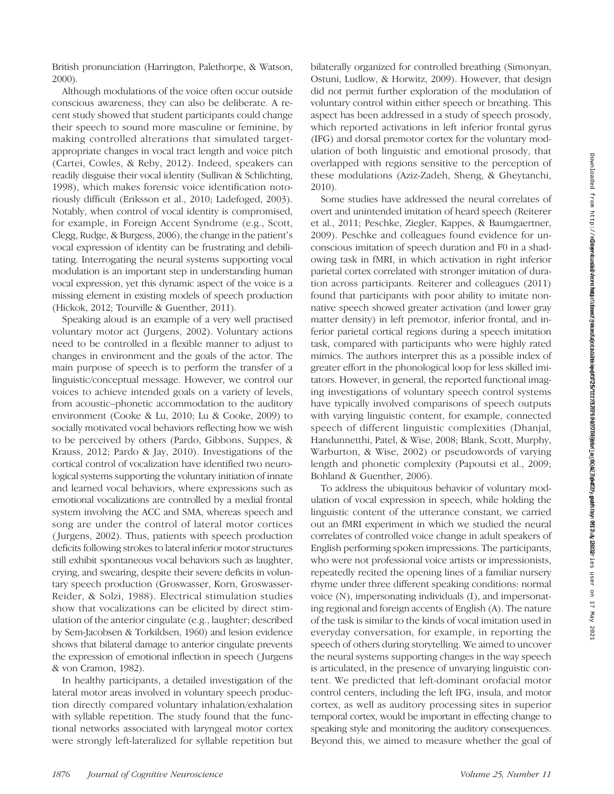British pronunciation (Harrington, Palethorpe, & Watson, 2000).

Although modulations of the voice often occur outside conscious awareness, they can also be deliberate. A recent study showed that student participants could change their speech to sound more masculine or feminine, by making controlled alterations that simulated targetappropriate changes in vocal tract length and voice pitch (Cartei, Cowles, & Reby, 2012). Indeed, speakers can readily disguise their vocal identity (Sullivan & Schlichting, 1998), which makes forensic voice identification notoriously difficult (Eriksson et al., 2010; Ladefoged, 2003). Notably, when control of vocal identity is compromised, for example, in Foreign Accent Syndrome (e.g., Scott, Clegg, Rudge, & Burgess, 2006), the change in the patient's vocal expression of identity can be frustrating and debilitating. Interrogating the neural systems supporting vocal modulation is an important step in understanding human vocal expression, yet this dynamic aspect of the voice is a missing element in existing models of speech production (Hickok, 2012; Tourville & Guenther, 2011).

Speaking aloud is an example of a very well practised voluntary motor act (Jurgens, 2002). Voluntary actions need to be controlled in a flexible manner to adjust to changes in environment and the goals of the actor. The main purpose of speech is to perform the transfer of a linguistic/conceptual message. However, we control our voices to achieve intended goals on a variety of levels, from acoustic–phonetic accommodation to the auditory environment (Cooke & Lu, 2010; Lu & Cooke, 2009) to socially motivated vocal behaviors reflecting how we wish to be perceived by others (Pardo, Gibbons, Suppes, & Krauss, 2012; Pardo & Jay, 2010). Investigations of the cortical control of vocalization have identified two neurological systems supporting the voluntary initiation of innate and learned vocal behaviors, where expressions such as emotional vocalizations are controlled by a medial frontal system involving the ACC and SMA, whereas speech and song are under the control of lateral motor cortices ( Jurgens, 2002). Thus, patients with speech production deficits following strokes to lateral inferior motor structures still exhibit spontaneous vocal behaviors such as laughter, crying, and swearing, despite their severe deficits in voluntary speech production (Groswasser, Korn, Groswasser-Reider, & Solzi, 1988). Electrical stimulation studies show that vocalizations can be elicited by direct stimulation of the anterior cingulate (e.g., laughter; described by Sem-Jacobsen & Torkildsen, 1960) and lesion evidence shows that bilateral damage to anterior cingulate prevents the expression of emotional inflection in speech ( Jurgens & von Cramon, 1982).

In healthy participants, a detailed investigation of the lateral motor areas involved in voluntary speech production directly compared voluntary inhalation/exhalation with syllable repetition. The study found that the functional networks associated with laryngeal motor cortex were strongly left-lateralized for syllable repetition but bilaterally organized for controlled breathing (Simonyan, Ostuni, Ludlow, & Horwitz, 2009). However, that design did not permit further exploration of the modulation of voluntary control within either speech or breathing. This aspect has been addressed in a study of speech prosody, which reported activations in left inferior frontal gyrus (IFG) and dorsal premotor cortex for the voluntary modulation of both linguistic and emotional prosody, that overlapped with regions sensitive to the perception of these modulations (Aziz-Zadeh, Sheng, & Gheytanchi, 2010).

Some studies have addressed the neural correlates of overt and unintended imitation of heard speech (Reiterer et al., 2011; Peschke, Ziegler, Kappes, & Baumgaertner, 2009). Peschke and colleagues found evidence for unconscious imitation of speech duration and F0 in a shadowing task in fMRI, in which activation in right inferior parietal cortex correlated with stronger imitation of duration across participants. Reiterer and colleagues (2011) found that participants with poor ability to imitate nonnative speech showed greater activation (and lower gray matter density) in left premotor, inferior frontal, and inferior parietal cortical regions during a speech imitation task, compared with participants who were highly rated mimics. The authors interpret this as a possible index of greater effort in the phonological loop for less skilled imitators. However, in general, the reported functional imaging investigations of voluntary speech control systems have typically involved comparisons of speech outputs with varying linguistic content, for example, connected speech of different linguistic complexities (Dhanjal, Handunnetthi, Patel, & Wise, 2008; Blank, Scott, Murphy, Warburton, & Wise, 2002) or pseudowords of varying length and phonetic complexity (Papoutsi et al., 2009; Bohland & Guenther, 2006).

To address the ubiquitous behavior of voluntary modulation of vocal expression in speech, while holding the linguistic content of the utterance constant, we carried out an fMRI experiment in which we studied the neural correlates of controlled voice change in adult speakers of English performing spoken impressions. The participants, who were not professional voice artists or impressionists, repeatedly recited the opening lines of a familiar nursery rhyme under three different speaking conditions: normal voice (N), impersonating individuals (I), and impersonating regional and foreign accents of English (A). The nature of the task is similar to the kinds of vocal imitation used in everyday conversation, for example, in reporting the speech of others during storytelling. We aimed to uncover the neural systems supporting changes in the way speech is articulated, in the presence of unvarying linguistic content. We predicted that left-dominant orofacial motor control centers, including the left IFG, insula, and motor cortex, as well as auditory processing sites in superior temporal cortex, would be important in effecting change to speaking style and monitoring the auditory consequences. Beyond this, we aimed to measure whether the goal of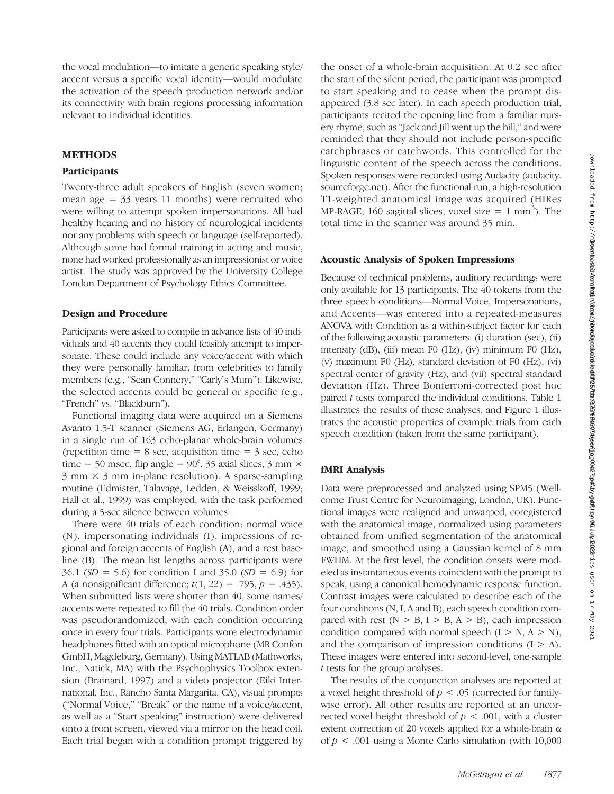the vocal modulation—to imitate a generic speaking style/ accent versus a specific vocal identity—would modulate the activation of the speech production network and/or its connectivity with brain regions processing information relevant to individual identities.

### METHODS

#### Participants

Twenty-three adult speakers of English (seven women; mean age  $=$  33 years 11 months) were recruited who were willing to attempt spoken impersonations. All had healthy hearing and no history of neurological incidents nor any problems with speech or language (self-reported). Although some had formal training in acting and music, none had worked professionally as an impressionist or voice artist. The study was approved by the University College London Department of Psychology Ethics Committee.

#### Design and Procedure

Participants were asked to compile in advance lists of 40 individuals and 40 accents they could feasibly attempt to impersonate. These could include any voice/accent with which they were personally familiar, from celebrities to family members (e.g., "Sean Connery," "Carly's Mum"). Likewise, the selected accents could be general or specific (e.g., "French" vs. "Blackburn").

Functional imaging data were acquired on a Siemens Avanto 1.5-T scanner (Siemens AG, Erlangen, Germany) in a single run of 163 echo-planar whole-brain volumes (repetition time  $= 8$  sec, acquisition time  $= 3$  sec, echo time = 50 msec, flip angle =  $90^{\circ}$ , 35 axial slices, 3 mm  $\times$  $3 \text{ mm} \times 3 \text{ mm}$  in-plane resolution). A sparse-sampling routine (Edmister, Talavage, Ledden, & Weisskoff, 1999; Hall et al., 1999) was employed, with the task performed during a 5-sec silence between volumes.

There were 40 trials of each condition: normal voice (N), impersonating individuals (I), impressions of regional and foreign accents of English (A), and a rest baseline (B). The mean list lengths across participants were 36.1 ( $SD = 5.6$ ) for condition I and 35.0 ( $SD = 6.9$ ) for A (a nonsignificant difference;  $t(1, 22) = .795$ ,  $p = .435$ ). When submitted lists were shorter than 40, some names/ accents were repeated to fill the 40 trials. Condition order was pseudorandomized, with each condition occurring once in every four trials. Participants wore electrodynamic headphones fitted with an optical microphone (MR Confon GmbH, Magdeburg, Germany).Using MATLAB (Mathworks, Inc., Natick, MA) with the Psychophysics Toolbox extension (Brainard, 1997) and a video projector (Eiki International, Inc., Rancho Santa Margarita, CA), visual prompts ("Normal Voice," "Break" or the name of a voice/accent, as well as a "Start speaking" instruction) were delivered onto a front screen, viewed via a mirror on the head coil. Each trial began with a condition prompt triggered by

the onset of a whole-brain acquisition. At 0.2 sec after the start of the silent period, the participant was prompted to start speaking and to cease when the prompt disappeared (3.8 sec later). In each speech production trial, participants recited the opening line from a familiar nursery rhyme, such as "Jack and Jill went up the hill," and were reminded that they should not include person-specific catchphrases or catchwords. This controlled for the linguistic content of the speech across the conditions. Spoken responses were recorded using Audacity (audacity. sourceforge.net). After the functional run, a high-resolution T1-weighted anatomical image was acquired (HIRes MP-RAGE, 160 sagittal slices, voxel size =  $1 \text{ mm}^3$ ). The total time in the scanner was around 35 min.

#### Acoustic Analysis of Spoken Impressions

Because of technical problems, auditory recordings were only available for 13 participants. The 40 tokens from the three speech conditions—Normal Voice, Impersonations, and Accents—was entered into a repeated-measures ANOVA with Condition as a within-subject factor for each of the following acoustic parameters: (i) duration (sec), (ii) intensity (dB), (iii) mean F0 (Hz), (iv) minimum F0 (Hz), (v) maximum F0 (Hz), standard deviation of F0 (Hz), (vi) spectral center of gravity (Hz), and (vii) spectral standard deviation (Hz). Three Bonferroni-corrected post hoc paired  $t$  tests compared the individual conditions. Table  $1$ illustrates the results of these analyses, and Figure 1 illustrates the acoustic properties of example trials from each speech condition (taken from the same participant).

#### fMRI Analysis

Data were preprocessed and analyzed using SPM5 (Wellcome Trust Centre for Neuroimaging, London, UK). Functional images were realigned and unwarped, coregistered with the anatomical image, normalized using parameters obtained from unified segmentation of the anatomical image, and smoothed using a Gaussian kernel of 8 mm FWHM. At the first level, the condition onsets were modeled as instantaneous events coincident with the prompt to speak, using a canonical hemodynamic response function. Contrast images were calculated to describe each of the four conditions (N, I, A and B), each speech condition compared with rest  $(N > B, I > B, A > B)$ , each impression condition compared with normal speech  $(I > N, A > N)$ , and the comparison of impression conditions  $(I > A)$ . These images were entered into second-level, one-sample t tests for the group analyses.

The results of the conjunction analyses are reported at a voxel height threshold of  $p < .05$  (corrected for familywise error). All other results are reported at an uncorrected voxel height threshold of  $p < .001$ , with a cluster extent correction of 20 voxels applied for a whole-brain  $\alpha$ of  $p < .001$  using a Monte Carlo simulation (with 10,000)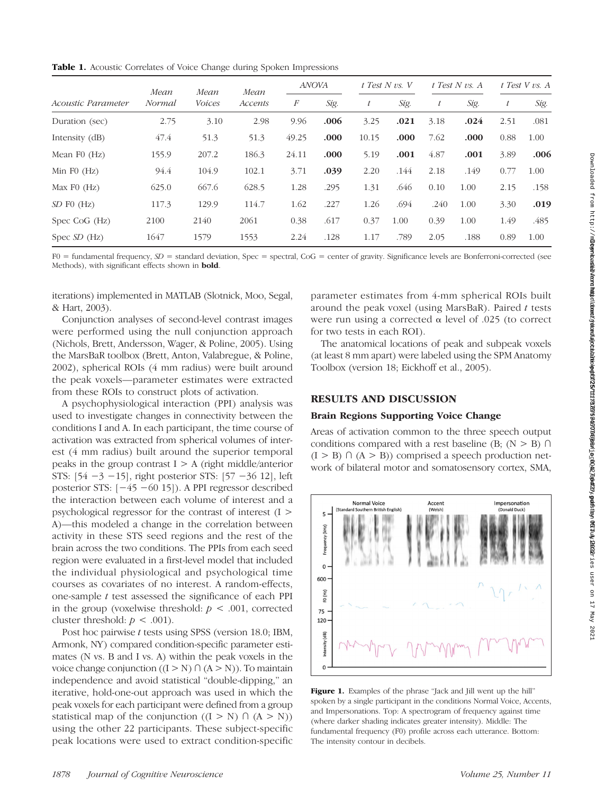| Acoustic Parameter | Mean<br>Normal | Mean<br><i>Voices</i> | Mean<br>Accents | <b>ANOVA</b>     |      | $t$ Test N vs. V |      | $t$ Test N vs. A |      | $t$ Test V vs. A |      |
|--------------------|----------------|-----------------------|-----------------|------------------|------|------------------|------|------------------|------|------------------|------|
|                    |                |                       |                 | $\boldsymbol{F}$ | Sig. | t                | Sig. | $\boldsymbol{t}$ | Sig. | $\bar{t}$        | Sig. |
| Duration (sec)     | 2.75           | 3.10                  | 2.98            | 9.96             | .006 | 3.25             | .021 | 3.18             | .024 | 2.51             | .081 |
| Intensity (dB)     | 47.4           | 51.3                  | 51.3            | 49.25            | .000 | 10.15            | .000 | 7.62             | .000 | 0.88             | 1.00 |
| Mean $F0$ (Hz)     | 155.9          | 207.2                 | 186.3           | 24.11            | .000 | 5.19             | .001 | 4.87             | .001 | 3.89             | .006 |
| Min $F0$ (Hz)      | 94.4           | 104.9                 | 102.1           | 3.71             | .039 | 2.20             | .144 | 2.18             | .149 | 0.77             | 1.00 |
| Max $F0$ (Hz)      | 625.0          | 667.6                 | 628.5           | 1.28             | .295 | 1.31             | .646 | 0.10             | 1.00 | 2.15             | .158 |
| SD F0 (Hz)         | 117.3          | 129.9                 | 114.7           | 1.62             | .227 | 1.26             | .694 | .240             | 1.00 | 3.30             | .019 |
| Spec CoG $(Hz)$    | 2100           | 2140                  | 2061            | 0.38             | .617 | 0.37             | 1.00 | 0.39             | 1.00 | 1.49             | .485 |
| Spec $SD$ (Hz)     | 1647           | 1579                  | 1553            | 2.24             | .128 | 1.17             | .789 | 2.05             | .188 | 0.89             | 1.00 |

 $F0 =$  fundamental frequency,  $SD =$  standard deviation, Spec = spectral, CoG = center of gravity. Significance levels are Bonferroni-corrected (see Methods), with significant effects shown in **bold**.

iterations) implemented in MATLAB (Slotnick, Moo, Segal, & Hart, 2003).

Conjunction analyses of second-level contrast images were performed using the null conjunction approach (Nichols, Brett, Andersson, Wager, & Poline, 2005). Using the MarsBaR toolbox (Brett, Anton, Valabregue, & Poline, 2002), spherical ROIs (4 mm radius) were built around the peak voxels—parameter estimates were extracted from these ROIs to construct plots of activation.

A psychophysiological interaction (PPI) analysis was used to investigate changes in connectivity between the conditions I and A. In each participant, the time course of activation was extracted from spherical volumes of interest (4 mm radius) built around the superior temporal peaks in the group contrast  $I > A$  (right middle/anterior STS: [54 −3 −15], right posterior STS: [57 −36 12], left posterior STS: [−45 −60 15]). A PPI regressor described the interaction between each volume of interest and a psychological regressor for the contrast of interest (I > A)—this modeled a change in the correlation between activity in these STS seed regions and the rest of the brain across the two conditions. The PPIs from each seed region were evaluated in a first-level model that included the individual physiological and psychological time courses as covariates of no interest. A random-effects, one-sample  $t$  test assessed the significance of each PPI in the group (voxelwise threshold:  $p < .001$ , corrected cluster threshold:  $p < .001$ ).

Post hoc pairwise t tests using SPSS (version 18.0; IBM, Armonk, NY) compared condition-specific parameter estimates (N vs. B and I vs. A) within the peak voxels in the voice change conjunction  $((I > N) \cap (A > N))$ . To maintain independence and avoid statistical "double-dipping," an iterative, hold-one-out approach was used in which the peak voxels for each participant were defined from a group statistical map of the conjunction  $((I > N) \cap (A > N))$ using the other 22 participants. These subject-specific peak locations were used to extract condition-specific

parameter estimates from 4-mm spherical ROIs built around the peak voxel (using MarsBaR). Paired  $t$  tests were run using a corrected  $\alpha$  level of .025 (to correct for two tests in each ROI).

The anatomical locations of peak and subpeak voxels (at least 8 mm apart) were labeled using the SPM Anatomy Toolbox (version 18; Eickhoff et al., 2005).

#### RESULTS AND DISCUSSION

#### Brain Regions Supporting Voice Change

Areas of activation common to the three speech output conditions compared with a rest baseline (B;  $(N > B)$ )  $(I > B) \cap (A > B)$  comprised a speech production network of bilateral motor and somatosensory cortex, SMA,



Figure 1. Examples of the phrase "Jack and Jill went up the hill" spoken by a single participant in the conditions Normal Voice, Accents, and Impersonations. Top: A spectrogram of frequency against time (where darker shading indicates greater intensity). Middle: The fundamental frequency (F0) profile across each utterance. Bottom: The intensity contour in decibels.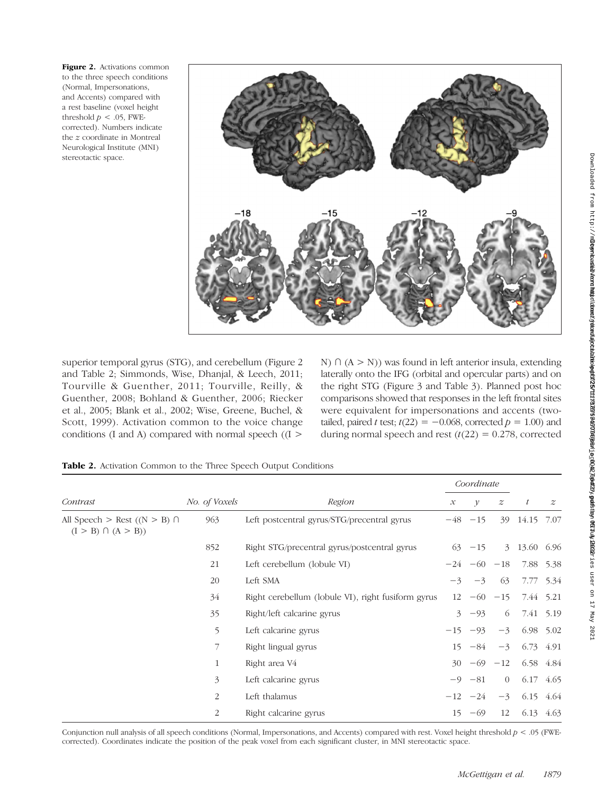Figure 2. Activations common to the three speech conditions (Normal, Impersonations, and Accents) compared with a rest baseline (voxel height threshold  $p < .05$ , FWEcorrected). Numbers indicate the z coordinate in Montreal Neurological Institute (MNI) stereotactic space.



superior temporal gyrus (STG), and cerebellum (Figure 2 and Table 2; Simmonds, Wise, Dhanjal, & Leech, 2011; Tourville & Guenther, 2011; Tourville, Reilly, & Guenther, 2008; Bohland & Guenther, 2006; Riecker et al., 2005; Blank et al., 2002; Wise, Greene, Buchel, & Scott, 1999). Activation common to the voice change conditions (I and A) compared with normal speech ( $(I >$ 

N)  $\cap$  (A > N)) was found in left anterior insula, extending laterally onto the IFG (orbital and opercular parts) and on the right STG (Figure 3 and Table 3). Planned post hoc comparisons showed that responses in the left frontal sites were equivalent for impersonations and accents (twotailed, paired t test;  $t(22) = -0.068$ , corrected  $p = 1.00$ ) and during normal speech and rest  $(t(22) = 0.278$ , corrected

| Table 2. Activation Common to the Three Speech Output Conditions |
|------------------------------------------------------------------|
|------------------------------------------------------------------|

|                                                              |                | Region                                             |      | Coordinate        |                  |              |                  |
|--------------------------------------------------------------|----------------|----------------------------------------------------|------|-------------------|------------------|--------------|------------------|
| Contrast                                                     | No. of Voxels  |                                                    |      | $\mathcal V$      | $\boldsymbol{z}$ | t            | $\boldsymbol{z}$ |
| All Speech > Rest $((N > B) \cap$<br>$(I > B) \cap (A > B))$ | 963            | Left postcentral gyrus/STG/precentral gyrus        |      | $-48$ $-15$       | 39               | 14.15 7.07   |                  |
|                                                              | 852            | Right STG/precentral gyrus/postcentral gyrus       |      | $63 - 15$         |                  | 3 13.60 6.96 |                  |
|                                                              | 21             | Left cerebellum (lobule VI)                        |      | $-24$ $-60$ $-18$ |                  |              | 7.88 5.38        |
|                                                              | 20             | Left SMA                                           | $-3$ | $-3$              | 63               |              | 7.77 5.34        |
|                                                              | 34             | Right cerebellum (lobule VI), right fusiform gyrus | 12   |                   | $-60 -15$        |              | 7.44 5.21        |
|                                                              | 35             | Right/left calcarine gyrus                         | 3    | $-93$             | 6                |              | 7.41 5.19        |
|                                                              | 5              | Left calcarine gyrus                               |      | $-15 - 93$        | $-3$             |              | 6.98 5.02        |
|                                                              | 7              | Right lingual gyrus                                |      | $15 - 84$         | $-3$             |              | 6.73 4.91        |
|                                                              | 1              | Right area V4                                      | 30   | $-69 -12$         |                  |              | 6.58 4.84        |
|                                                              | $\overline{3}$ | Left calcarine gyrus                               |      | $-9$ $-81$        | $\overline{0}$   | 6.17         | 4.65             |
|                                                              | 2              | Left thalamus                                      |      | $-12 -24$         | $-3$             |              | 6.15 4.64        |
|                                                              | 2              | Right calcarine gyrus                              |      | $15 - 69$         | 12               | 6.13         | 4.63             |

Conjunction null analysis of all speech conditions (Normal, Impersonations, and Accents) compared with rest. Voxel height threshold  $p < .05$  (FWEcorrected). Coordinates indicate the position of the peak voxel from each significant cluster, in MNI stereotactic space.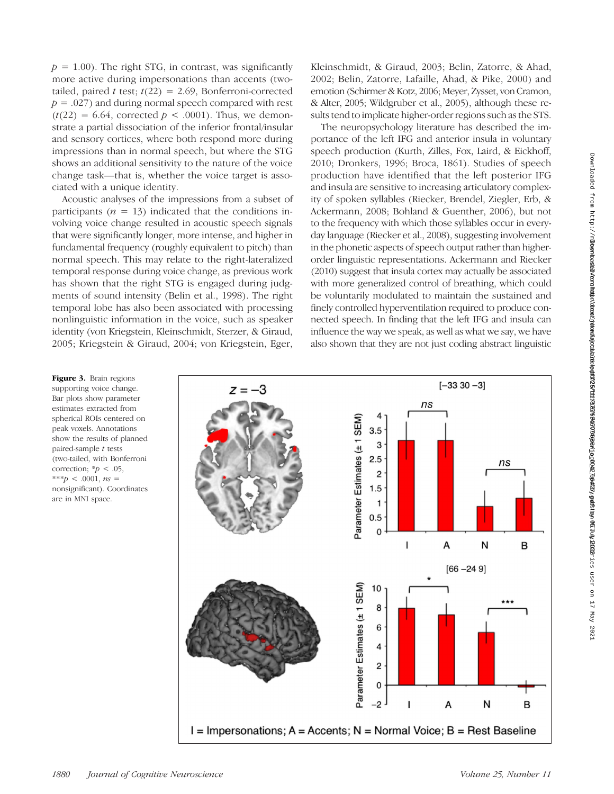$p = 1.00$ ). The right STG, in contrast, was significantly more active during impersonations than accents (twotailed, paired t test;  $t(22) = 2.69$ , Bonferroni-corrected  $p = .027$ ) and during normal speech compared with rest  $(t(22) = 6.64$ , corrected  $p < .0001$ ). Thus, we demonstrate a partial dissociation of the inferior frontal/insular and sensory cortices, where both respond more during impressions than in normal speech, but where the STG shows an additional sensitivity to the nature of the voice change task—that is, whether the voice target is associated with a unique identity.

Acoustic analyses of the impressions from a subset of participants ( $n = 13$ ) indicated that the conditions involving voice change resulted in acoustic speech signals that were significantly longer, more intense, and higher in fundamental frequency (roughly equivalent to pitch) than normal speech. This may relate to the right-lateralized temporal response during voice change, as previous work has shown that the right STG is engaged during judgments of sound intensity (Belin et al., 1998). The right temporal lobe has also been associated with processing nonlinguistic information in the voice, such as speaker identity (von Kriegstein, Kleinschmidt, Sterzer, & Giraud, 2005; Kriegstein & Giraud, 2004; von Kriegstein, Eger, Kleinschmidt, & Giraud, 2003; Belin, Zatorre, & Ahad, 2002; Belin, Zatorre, Lafaille, Ahad, & Pike, 2000) and emotion (Schirmer & Kotz, 2006; Meyer, Zysset, von Cramon, & Alter, 2005; Wildgruber et al., 2005), although these results tend to implicate higher-order regions such as the STS.

The neuropsychology literature has described the importance of the left IFG and anterior insula in voluntary speech production (Kurth, Zilles, Fox, Laird, & Eickhoff, 2010; Dronkers, 1996; Broca, 1861). Studies of speech production have identified that the left posterior IFG and insula are sensitive to increasing articulatory complexity of spoken syllables (Riecker, Brendel, Ziegler, Erb, & Ackermann, 2008; Bohland & Guenther, 2006), but not to the frequency with which those syllables occur in everyday language (Riecker et al., 2008), suggesting involvement in the phonetic aspects of speech output rather than higherorder linguistic representations. Ackermann and Riecker (2010) suggest that insula cortex may actually be associated with more generalized control of breathing, which could be voluntarily modulated to maintain the sustained and finely controlled hyperventilation required to produce connected speech. In finding that the left IFG and insula can influence the way we speak, as well as what we say, we have also shown that they are not just coding abstract linguistic

Figure 3. Brain regions supporting voice change. Bar plots show parameter estimates extracted from spherical ROIs centered on peak voxels. Annotations show the results of planned paired-sample t tests (two-tailed, with Bonferroni correction;  $p < .05$ , \*\*\*p < .0001,  $ns =$ nonsignificant). Coordinates are in MNI space.

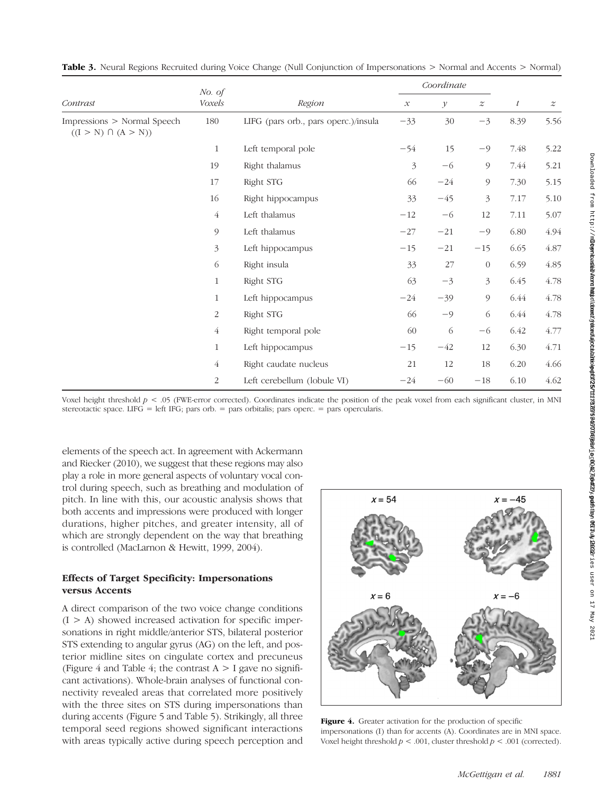|                                                         | No. of<br>Voxels | Region                               |               | Coordinate    |                  |                  |                  |
|---------------------------------------------------------|------------------|--------------------------------------|---------------|---------------|------------------|------------------|------------------|
| Contrast                                                |                  |                                      | $\mathcal{X}$ | $\mathcal{Y}$ | $\boldsymbol{z}$ | $\boldsymbol{t}$ | $\boldsymbol{z}$ |
| Impressions > Normal Speech<br>$((I > N) \cap (A > N))$ | 180              | LIFG (pars orb., pars operc.)/insula | $-33$         | 30            | $-3$             | 8.39             | 5.56             |
|                                                         | $\mathbf{1}$     | Left temporal pole                   | $-54$         | 15            | $-9$             | 7.48             | 5.22             |
|                                                         | 19               | Right thalamus                       | 3             | $-6$          | 9                | 7.44             | 5.21             |
|                                                         | 17               | Right STG                            | 66            | $-24$         | 9                | 7.30             | 5.15             |
|                                                         | 16               | Right hippocampus                    | 33            | $-45$         | 3                | 7.17             | 5.10             |
|                                                         | $\overline{4}$   | Left thalamus                        | $-12$         | $-6$          | 12               | 7.11             | 5.07             |
|                                                         | 9                | Left thalamus                        | $-27$         | $-21$         | $-9$             | 6.80             | 4.94             |
|                                                         | 3                | Left hippocampus                     | $-15$         | $-21$         | $-15$            | 6.65             | 4.87             |
|                                                         | 6                | Right insula                         | 33            | 27            | $\boldsymbol{0}$ | 6.59             | 4.85             |
|                                                         | $\mathbf{1}$     | Right STG                            | 63            | $-3$          | $\mathfrak{Z}$   | 6.45             | 4.78             |
|                                                         | 1                | Left hippocampus                     | $-24$         | $-39$         | 9                | 6.44             | 4.78             |
|                                                         | $\overline{c}$   | Right STG                            | 66            | $-9$          | 6                | 6.44             | 4.78             |
|                                                         | $\overline{4}$   | Right temporal pole                  | 60            | 6             | $-6$             | 6.42             | 4.77             |
|                                                         | $\mathbf{1}$     | Left hippocampus                     | $-15$         | $-42$         | 12               | 6.30             | 4.71             |
|                                                         | 4                | Right caudate nucleus                | 21            | 12            | 18               | 6.20             | 4.66             |
|                                                         | 2                | Left cerebellum (lobule VI)          | $-24$         | $-60$         | $-18$            | 6.10             | 4.62             |

Table 3. Neural Regions Recruited during Voice Change (Null Conjunction of Impersonations > Normal and Accents > Normal)

Voxel height threshold  $p < 0.05$  (FWE-error corrected). Coordinates indicate the position of the peak voxel from each significant cluster, in MNI stereotactic space. LIFG = left IFG; pars orb. = pars orbitalis; pars operc. = pars opercularis.

elements of the speech act. In agreement with Ackermann and Riecker (2010), we suggest that these regions may also play a role in more general aspects of voluntary vocal control during speech, such as breathing and modulation of pitch. In line with this, our acoustic analysis shows that both accents and impressions were produced with longer durations, higher pitches, and greater intensity, all of which are strongly dependent on the way that breathing is controlled (MacLarnon & Hewitt, 1999, 2004).

# Effects of Target Specificity: Impersonations versus Accents

A direct comparison of the two voice change conditions  $(I > A)$  showed increased activation for specific impersonations in right middle/anterior STS, bilateral posterior STS extending to angular gyrus (AG) on the left, and posterior midline sites on cingulate cortex and precuneus (Figure 4 and Table 4; the contrast  $A > I$  gave no significant activations). Whole-brain analyses of functional connectivity revealed areas that correlated more positively with the three sites on STS during impersonations than during accents (Figure 5 and Table 5). Strikingly, all three temporal seed regions showed significant interactions with areas typically active during speech perception and



Figure 4. Greater activation for the production of specific impersonations (I) than for accents (A). Coordinates are in MNI space. Voxel height threshold  $p < .001$ , cluster threshold  $p < .001$  (corrected).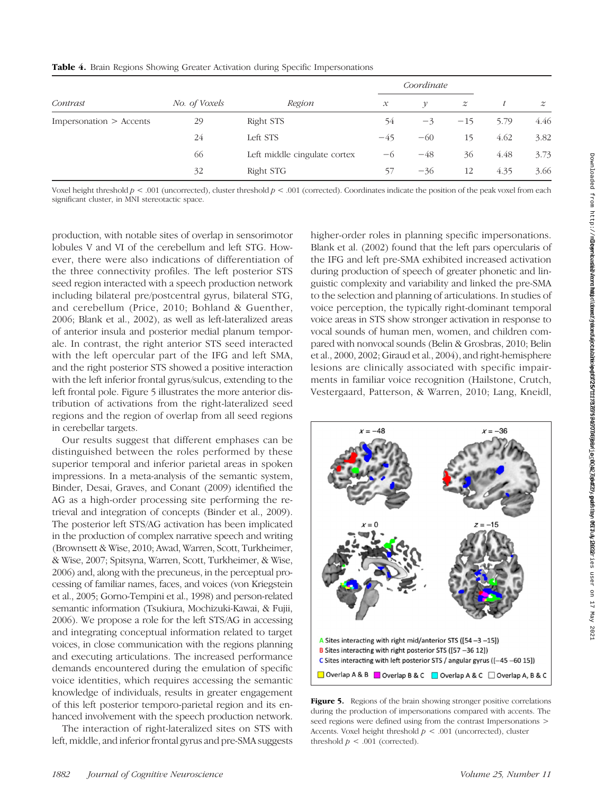|                         | No. of Voxels | Region                       |                     | Coordinate         |                  |      |                  |
|-------------------------|---------------|------------------------------|---------------------|--------------------|------------------|------|------------------|
| Contrast                |               |                              | $\mathcal{X}% _{0}$ | $\boldsymbol{\nu}$ | $\boldsymbol{z}$ |      | $\boldsymbol{z}$ |
| Impersonation > Accents | 29            | Right STS                    | 54                  | $-3$               | $-15$            | 5.79 | 4.46             |
|                         | 24            | Left STS                     | $-45$               | $-60$              | 15               | 4.62 | 3.82             |
|                         | 66            | Left middle cingulate cortex | -6                  | $-48$              | 36               | 4.48 | 3.73             |
|                         | 32            | Right STG                    | 57                  | $-36$              | 12               | 4.35 | 3.66             |

Voxel height threshold  $p < .001$  (uncorrected), cluster threshold  $p < .001$  (corrected). Coordinates indicate the position of the peak voxel from each significant cluster, in MNI stereotactic space.

production, with notable sites of overlap in sensorimotor lobules V and VI of the cerebellum and left STG. However, there were also indications of differentiation of the three connectivity profiles. The left posterior STS seed region interacted with a speech production network including bilateral pre/postcentral gyrus, bilateral STG, and cerebellum (Price, 2010; Bohland & Guenther, 2006; Blank et al., 2002), as well as left-lateralized areas of anterior insula and posterior medial planum temporale. In contrast, the right anterior STS seed interacted with the left opercular part of the IFG and left SMA, and the right posterior STS showed a positive interaction with the left inferior frontal gyrus/sulcus, extending to the left frontal pole. Figure 5 illustrates the more anterior distribution of activations from the right-lateralized seed regions and the region of overlap from all seed regions in cerebellar targets.

Our results suggest that different emphases can be distinguished between the roles performed by these superior temporal and inferior parietal areas in spoken impressions. In a meta-analysis of the semantic system, Binder, Desai, Graves, and Conant (2009) identified the AG as a high-order processing site performing the retrieval and integration of concepts (Binder et al., 2009). The posterior left STS/AG activation has been implicated in the production of complex narrative speech and writing (Brownsett & Wise, 2010; Awad, Warren, Scott, Turkheimer, & Wise, 2007; Spitsyna, Warren, Scott, Turkheimer, & Wise, 2006) and, along with the precuneus, in the perceptual processing of familiar names, faces, and voices (von Kriegstein et al., 2005; Gorno-Tempini et al., 1998) and person-related semantic information (Tsukiura, Mochizuki-Kawai, & Fujii, 2006). We propose a role for the left STS/AG in accessing and integrating conceptual information related to target voices, in close communication with the regions planning and executing articulations. The increased performance demands encountered during the emulation of specific voice identities, which requires accessing the semantic knowledge of individuals, results in greater engagement of this left posterior temporo-parietal region and its enhanced involvement with the speech production network.

The interaction of right-lateralized sites on STS with left, middle, and inferior frontal gyrus and pre-SMA suggests higher-order roles in planning specific impersonations. Blank et al. (2002) found that the left pars opercularis of the IFG and left pre-SMA exhibited increased activation during production of speech of greater phonetic and linguistic complexity and variability and linked the pre-SMA to the selection and planning of articulations. In studies of voice perception, the typically right-dominant temporal voice areas in STS show stronger activation in response to vocal sounds of human men, women, and children compared with nonvocal sounds (Belin & Grosbras, 2010; Belin et al., 2000, 2002; Giraud et al., 2004), and right-hemisphere lesions are clinically associated with specific impairments in familiar voice recognition (Hailstone, Crutch, Vestergaard, Patterson, & Warren, 2010; Lang, Kneidl,



Figure 5. Regions of the brain showing stronger positive correlations during the production of impersonations compared with accents. The seed regions were defined using from the contrast Impersonations > Accents. Voxel height threshold  $p < .001$  (uncorrected), cluster threshold  $p < .001$  (corrected).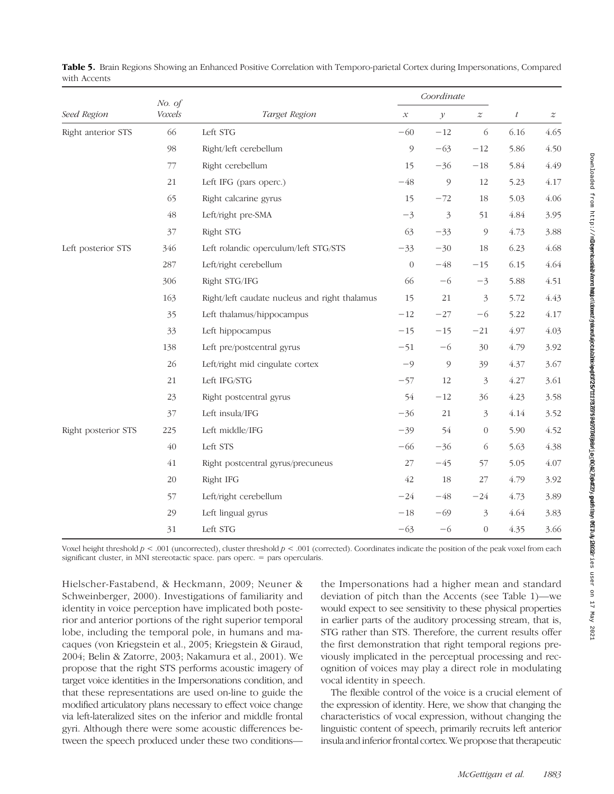|                     | No. of<br>Voxels |                                               |                     | Coordinate                       | $\boldsymbol{t}$ | $\boldsymbol{z}$ |      |
|---------------------|------------------|-----------------------------------------------|---------------------|----------------------------------|------------------|------------------|------|
| Seed Region         |                  | Target Region                                 | $\mathcal{X}% _{0}$ | $\mathcal Y$<br>$\boldsymbol{z}$ |                  |                  |      |
| Right anterior STS  | 66               | Left STG                                      | $-60$               | $-12$                            | 6                | 6.16             | 4.65 |
|                     | 98               | Right/left cerebellum                         | 9                   | $-63$                            | $-12$            | 5.86             | 4.50 |
|                     | 77               | Right cerebellum                              | 15                  | $-36$                            | $-18$            | 5.84             | 4.49 |
|                     | 21               | Left IFG (pars operc.)                        | $-48$               | $\mathcal{G}$                    | 12               | 5.23             | 4.17 |
|                     | 65               | Right calcarine gyrus                         | 15                  | $-72$                            | 18               | 5.03             | 4.06 |
|                     | 48               | Left/right pre-SMA                            | $-3$                | 3                                | 51               | 4.84             | 3.95 |
|                     | 37               | Right STG                                     | 63                  | $-33$                            | $\mathcal{Q}$    | 4.73             | 3.88 |
| Left posterior STS  | 346              | Left rolandic operculum/left STG/STS          | $-33$               | $-30$                            | 18               | 6.23             | 4.68 |
|                     | 287              | Left/right cerebellum                         | $\overline{0}$      | $-48$                            | $-15$            | 6.15             | 4.64 |
|                     | 306              | Right STG/IFG                                 | 66                  | $-6$                             | $-3$             | 5.88             | 4.51 |
|                     | 163              | Right/left caudate nucleus and right thalamus | 15                  | 21                               | $\mathfrak{Z}$   | 5.72             | 4.43 |
|                     | 35               | Left thalamus/hippocampus                     | $-12$               | $-27$                            | $-6$             | 5.22             | 4.17 |
|                     | 33               | Left hippocampus                              | $-15$               | $-15$                            | $-21$            | 4.97             | 4.03 |
|                     | 138              | Left pre/postcentral gyrus                    | $-51$               | $-6$                             | 30               | 4.79             | 3.92 |
|                     | 26               | Left/right mid cingulate cortex               | $-9$                | $\circ$                          | 39               | 4.37             | 3.67 |
|                     | 21               | Left IFG/STG                                  | $-57$               | 12                               | $\mathfrak{Z}$   | 4.27             | 3.61 |
|                     | 23               | Right postcentral gyrus                       | 54                  | $-12$                            | 36               | 4.23             | 3.58 |
|                     | 37               | Left insula/IFG                               | $-36$               | 21                               | 3                | 4.14             | 3.52 |
| Right posterior STS | 225              | Left middle/IFG                               | $-39$               | 54                               | $\theta$         | 5.90             | 4.52 |
|                     | 40               | Left STS                                      | $-66$               | $-36$                            | 6                | 5.63             | 4.38 |
|                     | $41\,$           | Right postcentral gyrus/precuneus             | 27                  | $-45$                            | 57               | 5.05             | 4.07 |
|                     | 20               | Right IFG                                     | 42                  | 18                               | 27               | 4.79             | 3.92 |
|                     | 57               | Left/right cerebellum                         | $-24$               | $-48$                            | $-24$            | 4.73             | 3.89 |
|                     | 29               | Left lingual gyrus                            | $-18$               | $-69$                            | $\mathfrak{Z}$   | 4.64             | 3.83 |
|                     | 31               | Left STG                                      | $-63$               | $-6$                             | $\overline{0}$   | 4.35             | 3.66 |

Table 5. Brain Regions Showing an Enhanced Positive Correlation with Temporo-parietal Cortex during Impersonations, Compared with Accents

Voxel height threshold  $p < .001$  (uncorrected), cluster threshold  $p < .001$  (corrected). Coordinates indicate the position of the peak voxel from each significant cluster, in MNI stereotactic space. pars operc. = pars opercularis.

Hielscher-Fastabend, & Heckmann, 2009; Neuner & Schweinberger, 2000). Investigations of familiarity and identity in voice perception have implicated both posterior and anterior portions of the right superior temporal lobe, including the temporal pole, in humans and macaques (von Kriegstein et al., 2005; Kriegstein & Giraud, 2004; Belin & Zatorre, 2003; Nakamura et al., 2001). We propose that the right STS performs acoustic imagery of target voice identities in the Impersonations condition, and that these representations are used on-line to guide the modified articulatory plans necessary to effect voice change via left-lateralized sites on the inferior and middle frontal gyri. Although there were some acoustic differences between the speech produced under these two conditions—

the Impersonations had a higher mean and standard deviation of pitch than the Accents (see Table 1)—we would expect to see sensitivity to these physical properties in earlier parts of the auditory processing stream, that is, STG rather than STS. Therefore, the current results offer the first demonstration that right temporal regions previously implicated in the perceptual processing and recognition of voices may play a direct role in modulating vocal identity in speech.

The flexible control of the voice is a crucial element of the expression of identity. Here, we show that changing the characteristics of vocal expression, without changing the linguistic content of speech, primarily recruits left anterior insula and inferior frontal cortex. We propose that therapeutic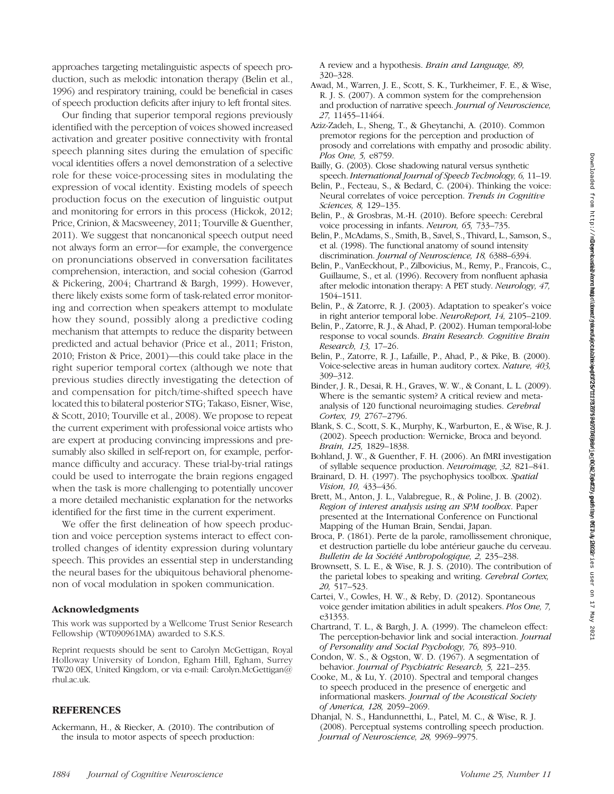approaches targeting metalinguistic aspects of speech production, such as melodic intonation therapy (Belin et al., 1996) and respiratory training, could be beneficial in cases of speech production deficits after injury to left frontal sites.

Our finding that superior temporal regions previously identified with the perception of voices showed increased activation and greater positive connectivity with frontal speech planning sites during the emulation of specific vocal identities offers a novel demonstration of a selective role for these voice-processing sites in modulating the expression of vocal identity. Existing models of speech production focus on the execution of linguistic output and monitoring for errors in this process (Hickok, 2012; Price, Crinion, & Macsweeney, 2011; Tourville & Guenther, 2011). We suggest that noncanonical speech output need not always form an error—for example, the convergence on pronunciations observed in conversation facilitates comprehension, interaction, and social cohesion (Garrod & Pickering, 2004; Chartrand & Bargh, 1999). However, there likely exists some form of task-related error monitoring and correction when speakers attempt to modulate how they sound, possibly along a predictive coding mechanism that attempts to reduce the disparity between predicted and actual behavior (Price et al., 2011; Friston, 2010; Friston & Price, 2001)—this could take place in the right superior temporal cortex (although we note that previous studies directly investigating the detection of and compensation for pitch/time-shifted speech have located this to bilateral posterior STG; Takaso, Eisner, Wise, & Scott, 2010; Tourville et al., 2008). We propose to repeat the current experiment with professional voice artists who are expert at producing convincing impressions and presumably also skilled in self-report on, for example, performance difficulty and accuracy. These trial-by-trial ratings could be used to interrogate the brain regions engaged when the task is more challenging to potentially uncover a more detailed mechanistic explanation for the networks identified for the first time in the current experiment.

We offer the first delineation of how speech production and voice perception systems interact to effect controlled changes of identity expression during voluntary speech. This provides an essential step in understanding the neural bases for the ubiquitous behavioral phenomenon of vocal modulation in spoken communication.

#### Acknowledgments

This work was supported by a Wellcome Trust Senior Research Fellowship (WT090961MA) awarded to S.K.S.

Reprint requests should be sent to Carolyn McGettigan, Royal Holloway University of London, Egham Hill, Egham, Surrey TW20 0EX, United Kingdom, or via e-mail: Carolyn.McGettigan@ rhul.ac.uk.

# **REFERENCES**

Ackermann, H., & Riecker, A. (2010). The contribution of the insula to motor aspects of speech production:

A review and a hypothesis. Brain and Language, 89, 320–328.

- Awad, M., Warren, J. E., Scott, S. K., Turkheimer, F. E., & Wise, R. J. S. (2007). A common system for the comprehension and production of narrative speech. Journal of Neuroscience, 27, 11455–11464.
- Aziz-Zadeh, L., Sheng, T., & Gheytanchi, A. (2010). Common premotor regions for the perception and production of prosody and correlations with empathy and prosodic ability. Plos One, 5, e8759.
- Bailly, G. (2003). Close shadowing natural versus synthetic speech. International Journal of Speech Technology, 6, 11-19.
- Belin, P., Fecteau, S., & Bedard, C. (2004). Thinking the voice: Neural correlates of voice perception. Trends in Cognitive Sciences, 8, 129–135.
- Belin, P., & Grosbras, M.-H. (2010). Before speech: Cerebral voice processing in infants. Neuron, 65, 733–735.
- Belin, P., McAdams, S., Smith, B., Savel, S., Thivard, L., Samson, S., et al. (1998). The functional anatomy of sound intensity discrimination. Journal of Neuroscience, 18, 6388–6394.
- Belin, P., VanEeckhout, P., Zilbovicius, M., Remy, P., Francois, C., Guillaume, S., et al. (1996). Recovery from nonfluent aphasia after melodic intonation therapy: A PET study. Neurology, 47, 1504–1511.
- Belin, P., & Zatorre, R. J. (2003). Adaptation to speaker's voice in right anterior temporal lobe. NeuroReport, 14, 2105–2109.
- Belin, P., Zatorre, R. J., & Ahad, P. (2002). Human temporal-lobe response to vocal sounds. Brain Research. Cognitive Brain Research, 13, 17–26.
- Belin, P., Zatorre, R. J., Lafaille, P., Ahad, P., & Pike, B. (2000). Voice-selective areas in human auditory cortex. Nature, 403, 309–312.
- Binder, J. R., Desai, R. H., Graves, W. W., & Conant, L. L. (2009). Where is the semantic system? A critical review and metaanalysis of 120 functional neuroimaging studies. Cerebral Cortex, 19, 2767–2796.
- Blank, S. C., Scott, S. K., Murphy, K., Warburton, E., & Wise, R. J. (2002). Speech production: Wernicke, Broca and beyond. Brain, 125, 1829–1838.
- Bohland, J. W., & Guenther, F. H. (2006). An fMRI investigation of syllable sequence production. Neuroimage, 32, 821–841.
- Brainard, D. H. (1997). The psychophysics toolbox. Spatial Vision, 10, 433–436.
- Brett, M., Anton, J. L., Valabregue, R., & Poline, J. B. (2002). Region of interest analysis using an SPM toolbox. Paper presented at the International Conference on Functional Mapping of the Human Brain, Sendai, Japan.
- Broca, P. (1861). Perte de la parole, ramollissement chronique, et destruction partielle du lobe antérieur gauche du cerveau. Bulletin de la Société Anthropologique, 2, 235–238.
- Brownsett, S. L. E., & Wise, R. J. S. (2010). The contribution of the parietal lobes to speaking and writing. Cerebral Cortex, 20, 517–523.
- Cartei, V., Cowles, H. W., & Reby, D. (2012). Spontaneous voice gender imitation abilities in adult speakers. Plos One, 7, e31353.
- Chartrand, T. L., & Bargh, J. A. (1999). The chameleon effect: The perception-behavior link and social interaction. *Journal* of Personality and Social Psychology, 76, 893–910.
- Condon, W. S., & Ogston, W. D. (1967). A segmentation of behavior. Journal of Psychiatric Research, 5, 221–235.
- Cooke, M., & Lu, Y. (2010). Spectral and temporal changes to speech produced in the presence of energetic and informational maskers. Journal of the Acoustical Society of America, 128, 2059–2069.
- Dhanjal, N. S., Handunnetthi, L., Patel, M. C., & Wise, R. J. (2008). Perceptual systems controlling speech production. Journal of Neuroscience, 28, 9969–9975.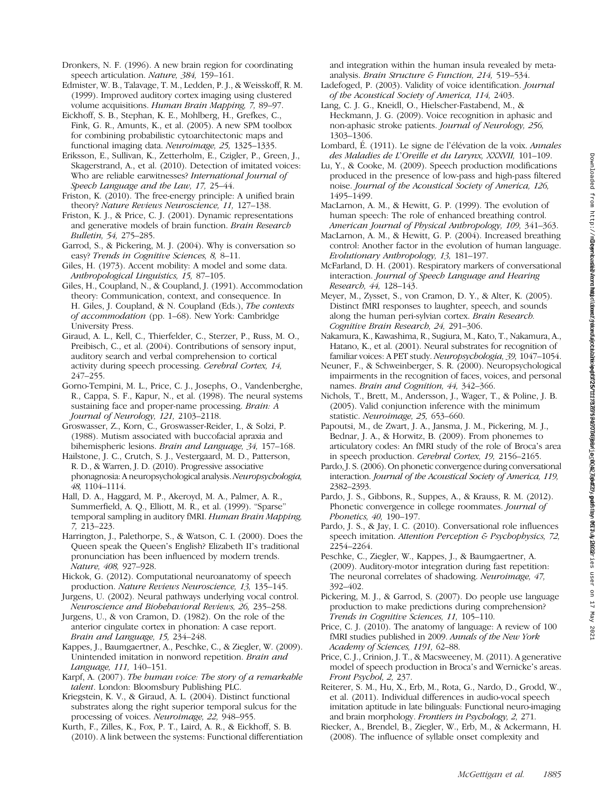Dronkers, N. F. (1996). A new brain region for coordinating speech articulation. Nature, 384, 159–161.

- Edmister, W. B., Talavage, T. M., Ledden, P. J., & Weisskoff, R. M. (1999). Improved auditory cortex imaging using clustered volume acquisitions. Human Brain Mapping, 7, 89–97.
- Eickhoff, S. B., Stephan, K. E., Mohlberg, H., Grefkes, C., Fink, G. R., Amunts, K., et al. (2005). A new SPM toolbox for combining probabilistic cytoarchitectonic maps and functional imaging data. Neuroimage, 25, 1325–1335.
- Eriksson, E., Sullivan, K., Zetterholm, E., Czigler, P., Green, J., Skagerstrand, A., et al. (2010). Detection of imitated voices: Who are reliable earwitnesses? International Journal of Speech Language and the Law, 17, 25-44.
- Friston, K. (2010). The free-energy principle: A unified brain theory? Nature Reviews Neuroscience, 11, 127–138.
- Friston, K. J., & Price, C. J. (2001). Dynamic representations and generative models of brain function. Brain Research Bulletin, 54, 275–285.
- Garrod, S., & Pickering, M. J. (2004). Why is conversation so easy? Trends in Cognitive Sciences, 8, 8–11.
- Giles, H. (1973). Accent mobility: A model and some data. Anthropological Linguistics, 15, 87–105.
- Giles, H., Coupland, N., & Coupland, J. (1991). Accommodation theory: Communication, context, and consequence. In H. Giles, J. Coupland, & N. Coupland (Eds.), The contexts of accommodation (pp. 1–68). New York: Cambridge University Press.
- Giraud, A. L., Kell, C., Thierfelder, C., Sterzer, P., Russ, M. O., Preibisch, C., et al. (2004). Contributions of sensory input, auditory search and verbal comprehension to cortical activity during speech processing. Cerebral Cortex, 14, 247–255.
- Gorno-Tempini, M. L., Price, C. J., Josephs, O., Vandenberghe, R., Cappa, S. F., Kapur, N., et al. (1998). The neural systems sustaining face and proper-name processing. Brain: A Journal of Neurology, 121, 2103–2118.
- Groswasser, Z., Korn, C., Groswasser-Reider, I., & Solzi, P. (1988). Mutism associated with buccofacial apraxia and bihemispheric lesions. Brain and Language, 34, 157–168.
- Hailstone, J. C., Crutch, S. J., Vestergaard, M. D., Patterson, R. D., & Warren, J. D. (2010). Progressive associative phonagnosia: A neuropsychological analysis.Neuropsychologia, 48, 1104–1114.
- Hall, D. A., Haggard, M. P., Akeroyd, M. A., Palmer, A. R., Summerfield, A. Q., Elliott, M. R., et al. (1999). "Sparse" temporal sampling in auditory fMRI. Human Brain Mapping, 7, 213–223.
- Harrington, J., Palethorpe, S., & Watson, C. I. (2000). Does the Queen speak the Queen's English? Elizabeth II's traditional pronunciation has been influenced by modern trends. Nature, 408, 927–928.
- Hickok, G. (2012). Computational neuroanatomy of speech production. Nature Reviews Neuroscience, 13, 135–145.
- Jurgens, U. (2002). Neural pathways underlying vocal control. Neuroscience and Biobehavioral Reviews, 26, 235–258.
- Jurgens, U., & von Cramon, D. (1982). On the role of the anterior cingulate cortex in phonation: A case report. Brain and Language, 15, 234–248.
- Kappes, J., Baumgaertner, A., Peschke, C., & Ziegler, W. (2009). Unintended imitation in nonword repetition. Brain and Language, 111, 140–151.
- Karpf, A. (2007). The human voice: The story of a remarkable talent. London: Bloomsbury Publishing PLC.
- Kriegstein, K. V., & Giraud, A. L. (2004). Distinct functional substrates along the right superior temporal sulcus for the processing of voices. Neuroimage, 22, 948–955.
- Kurth, F., Zilles, K., Fox, P. T., Laird, A. R., & Eickhoff, S. B. (2010). A link between the systems: Functional differentiation

and integration within the human insula revealed by metaanalysis. Brain Structure & Function, 214, 519–534.

- Ladefoged, P. (2003). Validity of voice identification. Journal of the Acoustical Society of America, 114, 2403.
- Lang, C. J. G., Kneidl, O., Hielscher-Fastabend, M., & Heckmann, J. G. (2009). Voice recognition in aphasic and non-aphasic stroke patients. Journal of Neurology, 256, 1303–1306.
- Lombard, É. (1911). Le signe de l'élévation de la voix. Annales des Maladies de L'Oreille et du Larynx, XXXVII, 101–109.
- Lu, Y., & Cooke, M. (2009). Speech production modifications produced in the presence of low-pass and high-pass filtered noise. Journal of the Acoustical Society of America, 126, 1495–1499.
- MacLarnon, A. M., & Hewitt, G. P. (1999). The evolution of human speech: The role of enhanced breathing control. American Journal of Physical Anthropology, 109, 341–363.
- MacLarnon, A. M., & Hewitt, G. P. (2004). Increased breathing control: Another factor in the evolution of human language. Evolutionary Anthropology, 13, 181–197.
- McFarland, D. H. (2001). Respiratory markers of conversational interaction. Journal of Speech Language and Hearing Research, 44, 128–143.
- Meyer, M., Zysset, S., von Cramon, D. Y., & Alter, K. (2005). Distinct fMRI responses to laughter, speech, and sounds along the human peri-sylvian cortex. Brain Research. Cognitive Brain Research, 24, 291–306.
- Nakamura, K., Kawashima, R., Sugiura, M., Kato, T., Nakamura, A., Hatano, K., et al. (2001). Neural substrates for recognition of familiar voices: A PET study. Neuropsychologia, 39, 1047–1054.
- Neuner, F., & Schweinberger, S. R. (2000). Neuropsychological impairments in the recognition of faces, voices, and personal names. Brain and Cognition, 44, 342–366.
- Nichols, T., Brett, M., Andersson, J., Wager, T., & Poline, J. B. (2005). Valid conjunction inference with the minimum statistic. Neuroimage, 25, 653–660.
- Papoutsi, M., de Zwart, J. A., Jansma, J. M., Pickering, M. J., Bednar, J. A., & Horwitz, B. (2009). From phonemes to articulatory codes: An fMRI study of the role of Broca's area in speech production. Cerebral Cortex, 19, 2156–2165.
- Pardo, J. S. (2006). On phonetic convergence during conversational interaction. Journal of the Acoustical Society of America, 119, 2382–2393.
- Pardo, J. S., Gibbons, R., Suppes, A., & Krauss, R. M. (2012). Phonetic convergence in college roommates. Journal of Phonetics, 40, 190–197.
- Pardo, J. S., & Jay, I. C. (2010). Conversational role influences speech imitation. Attention Perception & Psychophysics, 72, 2254–2264.
- Peschke, C., Ziegler, W., Kappes, J., & Baumgaertner, A. (2009). Auditory-motor integration during fast repetition: The neuronal correlates of shadowing. Neuroimage, 47, 392–402.
- Pickering, M. J., & Garrod, S. (2007). Do people use language production to make predictions during comprehension? Trends in Cognitive Sciences, 11, 105–110.
- Price, C. J. (2010). The anatomy of language: A review of 100 fMRI studies published in 2009. Annals of the New York Academy of Sciences, 1191, 62–88.
- Price, C. J., Crinion, J. T., & Macsweeney, M. (2011). A generative model of speech production in Broca's and Wernicke's areas. Front Psychol, 2, 237.
- Reiterer, S. M., Hu, X., Erb, M., Rota, G., Nardo, D., Grodd, W., et al. (2011). Individual differences in audio-vocal speech imitation aptitude in late bilinguals: Functional neuro-imaging and brain morphology. Frontiers in Psychology, 2, 271.
- Riecker, A., Brendel, B., Ziegler, W., Erb, M., & Ackermann, H. (2008). The influence of syllable onset complexity and